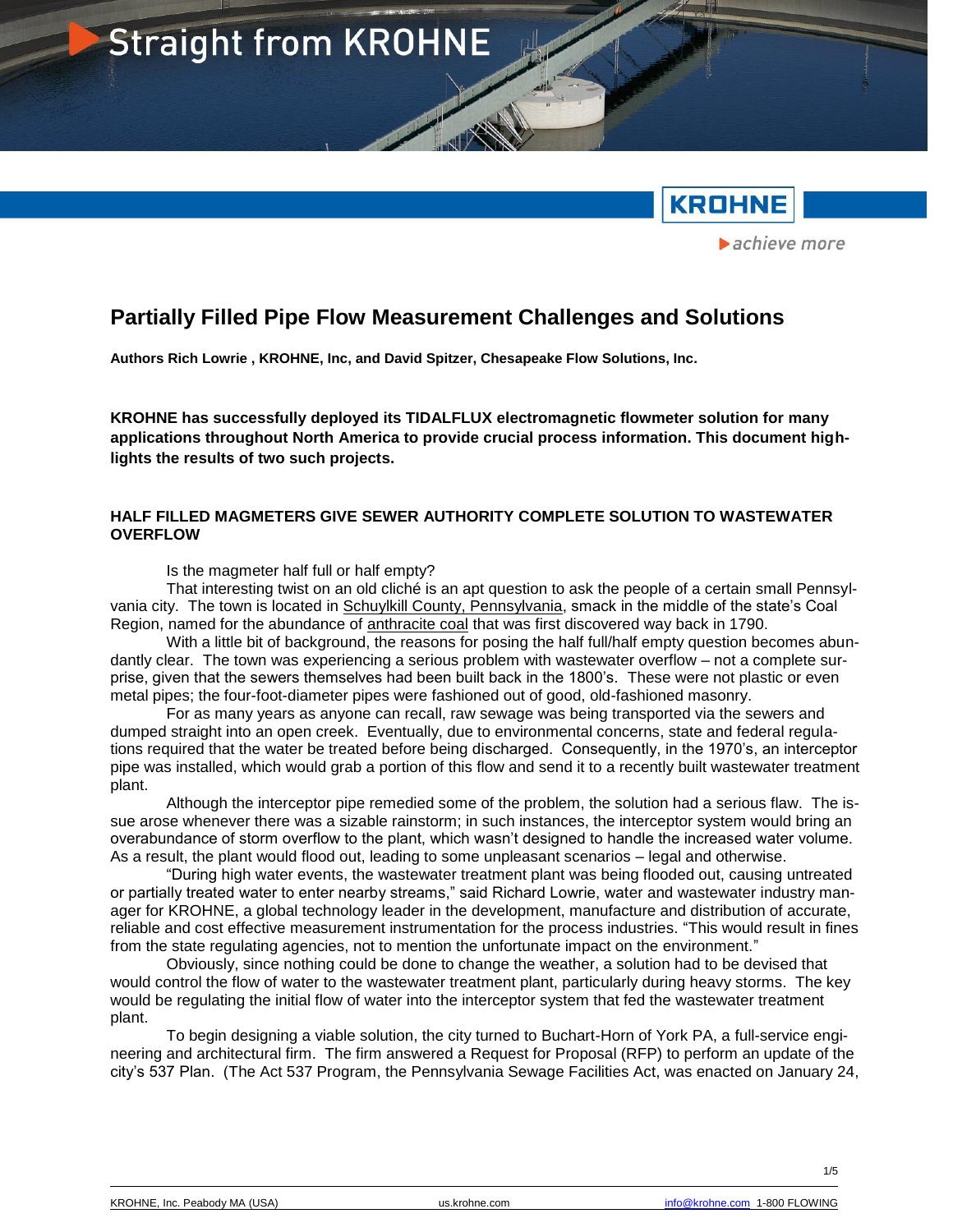



 $\blacktriangleright$  achieve more

### **Partially Filled Pipe Flow Measurement Challenges and Solutions**

**Authors Rich Lowrie , KROHNE, Inc, and David Spitzer, Chesapeake Flow Solutions, Inc.**

**KROHNE has successfully deployed its TIDALFLUX electromagnetic flowmeter solution for many applications throughout North America to provide crucial process information. This document highlights the results of two such projects.**

#### **HALF FILLED MAGMETERS GIVE SEWER AUTHORITY COMPLETE SOLUTION TO WASTEWATER OVERFLOW**

Is the magmeter half full or half empty?

That interesting twist on an old cliché is an apt question to ask the people of a certain small Pennsylvania city. The town is located in [Schuylkill County, Pennsylvania,](http://en.wikipedia.org/wiki/Schuylkill_County,_Pennsylvania) smack in the middle of the state's Coal Region, named for the abundance of [anthracite coal](http://en.wikipedia.org/wiki/Anthracite_coal) that was first discovered way back in 1790.

With a little bit of background, the reasons for posing the half full/half empty question becomes abundantly clear. The town was experiencing a serious problem with wastewater overflow – not a complete surprise, given that the sewers themselves had been built back in the 1800's. These were not plastic or even metal pipes; the four-foot-diameter pipes were fashioned out of good, old-fashioned masonry.

For as many years as anyone can recall, raw sewage was being transported via the sewers and dumped straight into an open creek. Eventually, due to environmental concerns, state and federal regulations required that the water be treated before being discharged. Consequently, in the 1970's, an interceptor pipe was installed, which would grab a portion of this flow and send it to a recently built wastewater treatment plant.

Although the interceptor pipe remedied some of the problem, the solution had a serious flaw. The issue arose whenever there was a sizable rainstorm; in such instances, the interceptor system would bring an overabundance of storm overflow to the plant, which wasn't designed to handle the increased water volume. As a result, the plant would flood out, leading to some unpleasant scenarios – legal and otherwise.

"During high water events, the wastewater treatment plant was being flooded out, causing untreated or partially treated water to enter nearby streams," said Richard Lowrie, water and wastewater industry manager for KROHNE, a global technology leader in the development, manufacture and distribution of accurate, reliable and cost effective measurement instrumentation for the process industries. "This would result in fines from the state regulating agencies, not to mention the unfortunate impact on the environment."

Obviously, since nothing could be done to change the weather, a solution had to be devised that would control the flow of water to the wastewater treatment plant, particularly during heavy storms. The key would be regulating the initial flow of water into the interceptor system that fed the wastewater treatment plant.

To begin designing a viable solution, the city turned to Buchart-Horn of York PA, a full-service engineering and architectural firm. The firm answered a Request for Proposal (RFP) to perform an update of the city's 537 Plan. (The Act 537 Program, the Pennsylvania Sewage Facilities Act, was enacted on January 24,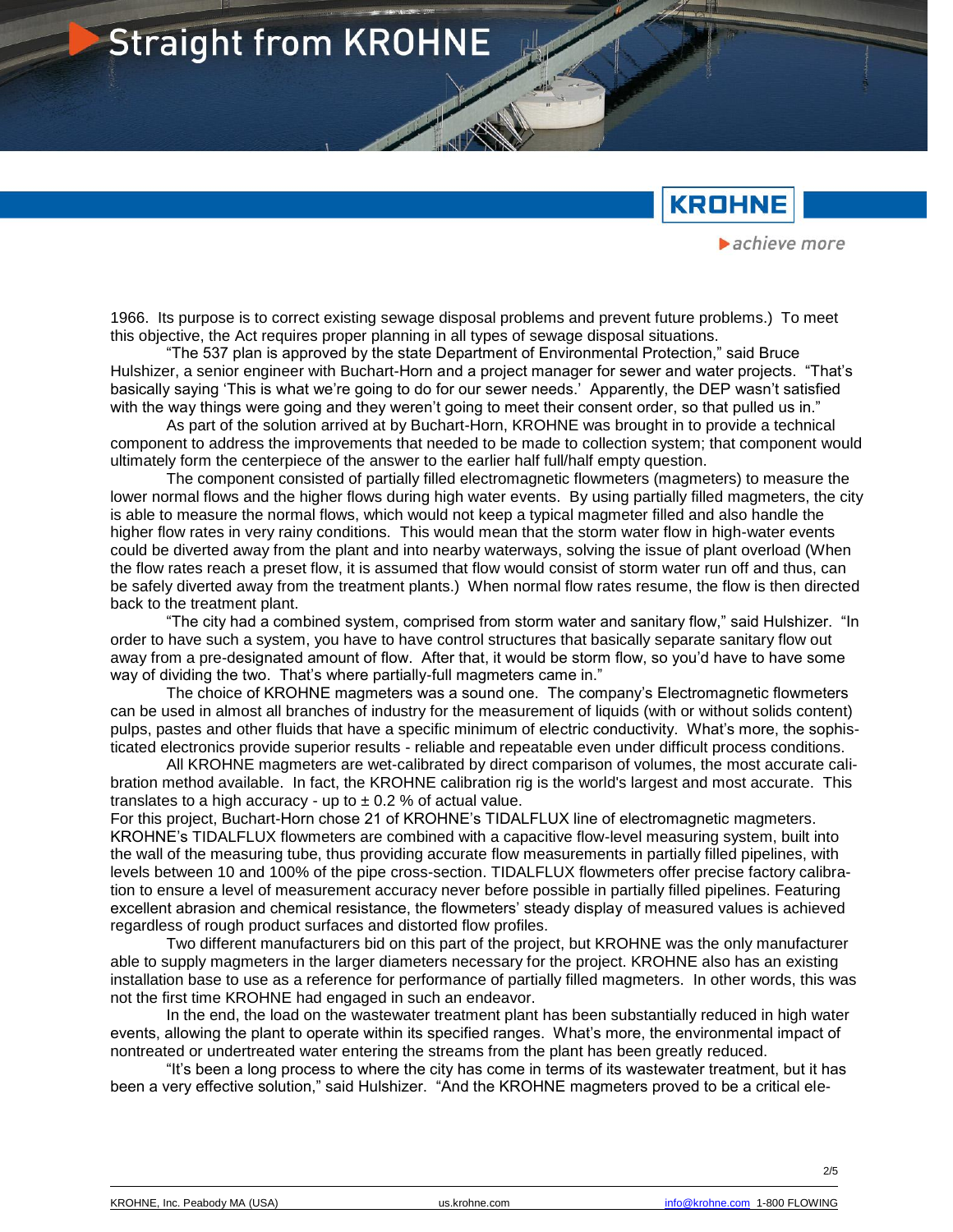# **Straight from KROHNE**



 $\blacktriangleright$  achieve more

1966. Its purpose is to correct existing sewage disposal problems and prevent future problems.) To meet this objective, the Act requires proper planning in all types of sewage disposal situations.

"The 537 plan is approved by the state Department of Environmental Protection," said Bruce Hulshizer, a senior engineer with Buchart-Horn and a project manager for sewer and water projects. "That's basically saying 'This is what we're going to do for our sewer needs.' Apparently, the DEP wasn't satisfied with the way things were going and they weren't going to meet their consent order, so that pulled us in."

As part of the solution arrived at by Buchart-Horn, KROHNE was brought in to provide a technical component to address the improvements that needed to be made to collection system; that component would ultimately form the centerpiece of the answer to the earlier half full/half empty question.

The component consisted of partially filled electromagnetic flowmeters (magmeters) to measure the lower normal flows and the higher flows during high water events. By using partially filled magmeters, the city is able to measure the normal flows, which would not keep a typical magmeter filled and also handle the higher flow rates in very rainy conditions. This would mean that the storm water flow in high-water events could be diverted away from the plant and into nearby waterways, solving the issue of plant overload (When the flow rates reach a preset flow, it is assumed that flow would consist of storm water run off and thus, can be safely diverted away from the treatment plants.) When normal flow rates resume, the flow is then directed back to the treatment plant.

"The city had a combined system, comprised from storm water and sanitary flow," said Hulshizer. "In order to have such a system, you have to have control structures that basically separate sanitary flow out away from a pre-designated amount of flow. After that, it would be storm flow, so you'd have to have some way of dividing the two. That's where partially-full magmeters came in."

The choice of KROHNE magmeters was a sound one. The company's Electromagnetic flowmeters can be used in almost all branches of industry for the measurement of liquids (with or without solids content) pulps, pastes and other fluids that have a specific minimum of electric conductivity. What's more, the sophisticated electronics provide superior results - reliable and repeatable even under difficult process conditions.

All KROHNE magmeters are wet-calibrated by direct comparison of volumes, the most accurate calibration method available. In fact, the KROHNE calibration rig is the world's largest and most accurate. This translates to a high accuracy - up to  $\pm$  0.2 % of actual value.

For this project, Buchart-Horn chose 21 of KROHNE's TIDALFLUX line of electromagnetic magmeters. KROHNE's TIDALFLUX flowmeters are combined with a capacitive flow-level measuring system, built into the wall of the measuring tube, thus providing accurate flow measurements in partially filled pipelines, with levels between 10 and 100% of the pipe cross-section. TIDALFLUX flowmeters offer precise factory calibration to ensure a level of measurement accuracy never before possible in partially filled pipelines. Featuring excellent abrasion and chemical resistance, the flowmeters' steady display of measured values is achieved regardless of rough product surfaces and distorted flow profiles.

Two different manufacturers bid on this part of the project, but KROHNE was the only manufacturer able to supply magmeters in the larger diameters necessary for the project. KROHNE also has an existing installation base to use as a reference for performance of partially filled magmeters. In other words, this was not the first time KROHNE had engaged in such an endeavor.

In the end, the load on the wastewater treatment plant has been substantially reduced in high water events, allowing the plant to operate within its specified ranges. What's more, the environmental impact of nontreated or undertreated water entering the streams from the plant has been greatly reduced.

"It's been a long process to where the city has come in terms of its wastewater treatment, but it has been a very effective solution," said Hulshizer. "And the KROHNE magmeters proved to be a critical ele-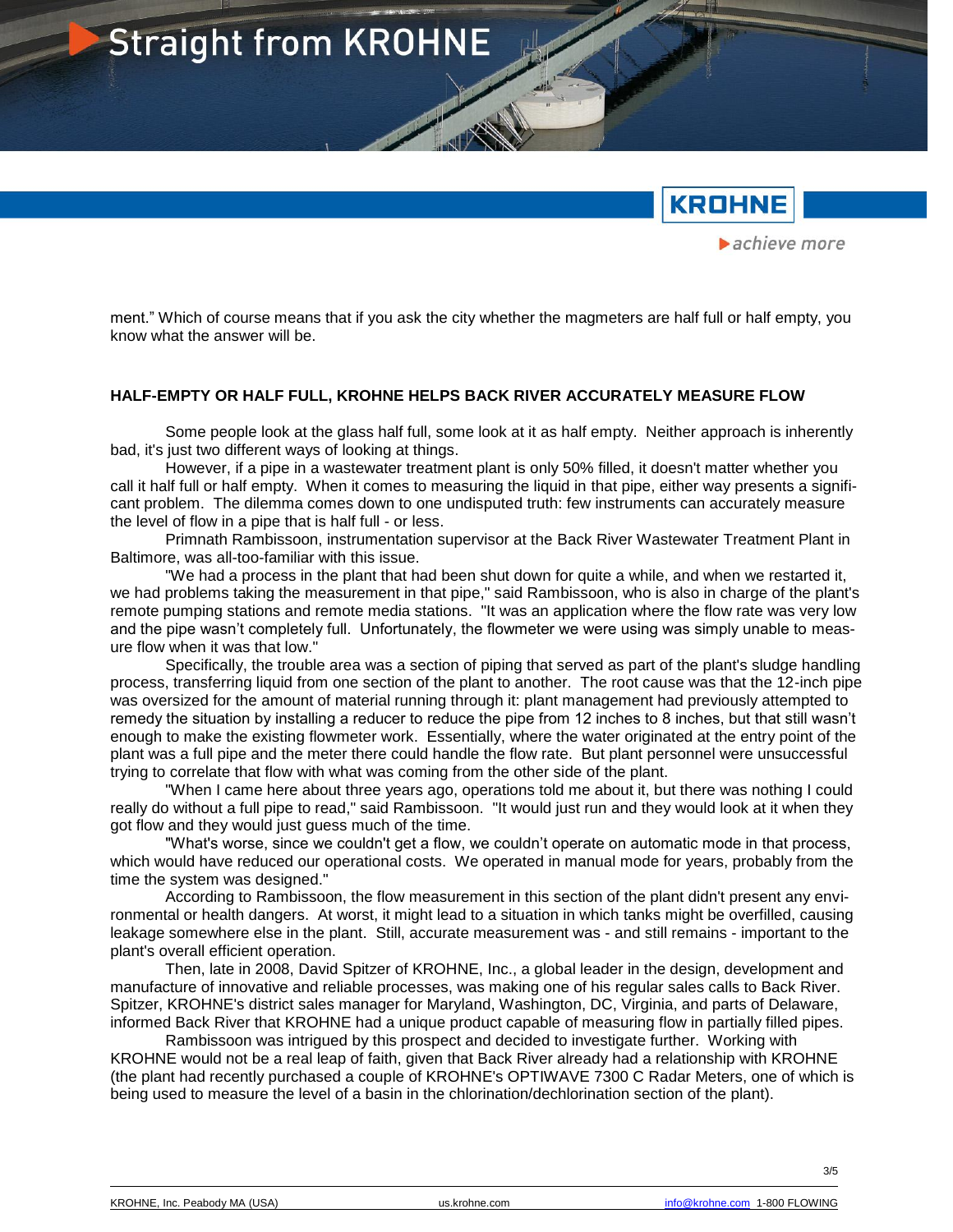



 $\blacktriangleright$  achieve more

ment." Which of course means that if you ask the city whether the magmeters are half full or half empty, you know what the answer will be.

#### **HALF-EMPTY OR HALF FULL, KROHNE HELPS BACK RIVER ACCURATELY MEASURE FLOW**

Some people look at the glass half full, some look at it as half empty. Neither approach is inherently bad, it's just two different ways of looking at things.

However, if a pipe in a wastewater treatment plant is only 50% filled, it doesn't matter whether you call it half full or half empty. When it comes to measuring the liquid in that pipe, either way presents a significant problem. The dilemma comes down to one undisputed truth: few instruments can accurately measure the level of flow in a pipe that is half full - or less.

Primnath Rambissoon, instrumentation supervisor at the Back River Wastewater Treatment Plant in Baltimore, was all-too-familiar with this issue.

"We had a process in the plant that had been shut down for quite a while, and when we restarted it, we had problems taking the measurement in that pipe," said Rambissoon, who is also in charge of the plant's remote pumping stations and remote media stations. "It was an application where the flow rate was very low and the pipe wasn't completely full. Unfortunately, the flowmeter we were using was simply unable to measure flow when it was that low."

Specifically, the trouble area was a section of piping that served as part of the plant's sludge handling process, transferring liquid from one section of the plant to another. The root cause was that the 12-inch pipe was oversized for the amount of material running through it: plant management had previously attempted to remedy the situation by installing a reducer to reduce the pipe from 12 inches to 8 inches, but that still wasn't enough to make the existing flowmeter work. Essentially, where the water originated at the entry point of the plant was a full pipe and the meter there could handle the flow rate. But plant personnel were unsuccessful trying to correlate that flow with what was coming from the other side of the plant.

"When I came here about three years ago, operations told me about it, but there was nothing I could really do without a full pipe to read," said Rambissoon. "It would just run and they would look at it when they got flow and they would just guess much of the time.

"What's worse, since we couldn't get a flow, we couldn't operate on automatic mode in that process, which would have reduced our operational costs. We operated in manual mode for years, probably from the time the system was designed."

According to Rambissoon, the flow measurement in this section of the plant didn't present any environmental or health dangers. At worst, it might lead to a situation in which tanks might be overfilled, causing leakage somewhere else in the plant. Still, accurate measurement was - and still remains - important to the plant's overall efficient operation.

Then, late in 2008, David Spitzer of KROHNE, Inc., a global leader in the design, development and manufacture of innovative and reliable processes, was making one of his regular sales calls to Back River. Spitzer, KROHNE's district sales manager for Maryland, Washington, DC, Virginia, and parts of Delaware, informed Back River that KROHNE had a unique product capable of measuring flow in partially filled pipes.

Rambissoon was intrigued by this prospect and decided to investigate further. Working with KROHNE would not be a real leap of faith, given that Back River already had a relationship with KROHNE (the plant had recently purchased a couple of KROHNE's OPTIWAVE 7300 C Radar Meters, one of which is being used to measure the level of a basin in the chlorination/dechlorination section of the plant).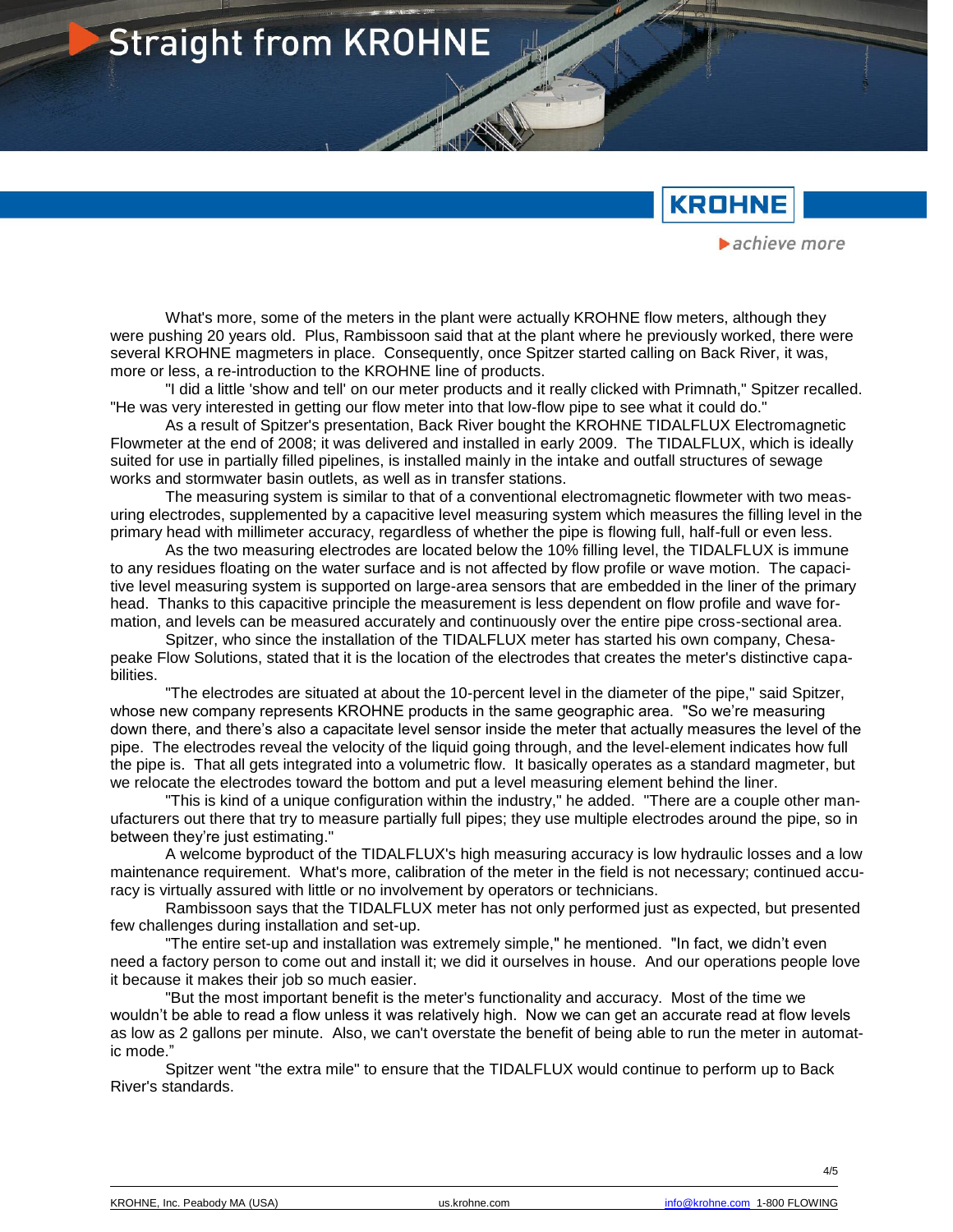# **Straight from KROHNE**



 $\blacktriangleright$  achieve more

What's more, some of the meters in the plant were actually KROHNE flow meters, although they were pushing 20 years old. Plus, Rambissoon said that at the plant where he previously worked, there were several KROHNE magmeters in place. Consequently, once Spitzer started calling on Back River, it was, more or less, a re-introduction to the KROHNE line of products.

"I did a little 'show and tell' on our meter products and it really clicked with Primnath," Spitzer recalled. "He was very interested in getting our flow meter into that low-flow pipe to see what it could do."

As a result of Spitzer's presentation, Back River bought the KROHNE TIDALFLUX Electromagnetic Flowmeter at the end of 2008; it was delivered and installed in early 2009. The TIDALFLUX, which is ideally suited for use in partially filled pipelines, is installed mainly in the intake and outfall structures of sewage works and stormwater basin outlets, as well as in transfer stations.

The measuring system is similar to that of a conventional electromagnetic flowmeter with two measuring electrodes, supplemented by a capacitive level measuring system which measures the filling level in the primary head with millimeter accuracy, regardless of whether the pipe is flowing full, half-full or even less.

As the two measuring electrodes are located below the 10% filling level, the TIDALFLUX is immune to any residues floating on the water surface and is not affected by flow profile or wave motion. The capacitive level measuring system is supported on large-area sensors that are embedded in the liner of the primary head. Thanks to this capacitive principle the measurement is less dependent on flow profile and wave formation, and levels can be measured accurately and continuously over the entire pipe cross-sectional area.

Spitzer, who since the installation of the TIDALFLUX meter has started his own company, Chesapeake Flow Solutions, stated that it is the location of the electrodes that creates the meter's distinctive capabilities.

"The electrodes are situated at about the 10-percent level in the diameter of the pipe," said Spitzer, whose new company represents KROHNE products in the same geographic area. "So we're measuring down there, and there's also a capacitate level sensor inside the meter that actually measures the level of the pipe. The electrodes reveal the velocity of the liquid going through, and the level-element indicates how full the pipe is. That all gets integrated into a volumetric flow. It basically operates as a standard magmeter, but we relocate the electrodes toward the bottom and put a level measuring element behind the liner.

"This is kind of a unique configuration within the industry," he added. "There are a couple other manufacturers out there that try to measure partially full pipes; they use multiple electrodes around the pipe, so in between they're just estimating."

A welcome byproduct of the TIDALFLUX's high measuring accuracy is low hydraulic losses and a low maintenance requirement. What's more, calibration of the meter in the field is not necessary; continued accuracy is virtually assured with little or no involvement by operators or technicians.

Rambissoon says that the TIDALFLUX meter has not only performed just as expected, but presented few challenges during installation and set-up.

"The entire set-up and installation was extremely simple," he mentioned. "In fact, we didn't even need a factory person to come out and install it; we did it ourselves in house. And our operations people love it because it makes their job so much easier.

"But the most important benefit is the meter's functionality and accuracy. Most of the time we wouldn't be able to read a flow unless it was relatively high. Now we can get an accurate read at flow levels as low as 2 gallons per minute. Also, we can't overstate the benefit of being able to run the meter in automatic mode."

Spitzer went "the extra mile" to ensure that the TIDALFLUX would continue to perform up to Back River's standards.